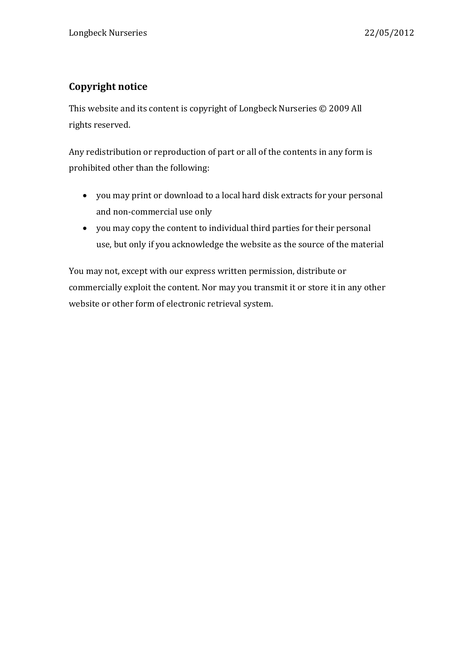## **Copyright notice**

This website and its content is copyright of Longbeck Nurseries © 2009 All rights reserved.

Any redistribution or reproduction of part or all of the contents in any form is prohibited other than the following:

- you may print or download to a local hard disk extracts for your personal and non-commercial use only
- you may copy the content to individual third parties for their personal use, but only if you acknowledge the website as the source of the material

You may not, except with our express written permission, distribute or commercially exploit the content. Nor may you transmit it or store it in any other website or other form of electronic retrieval system.